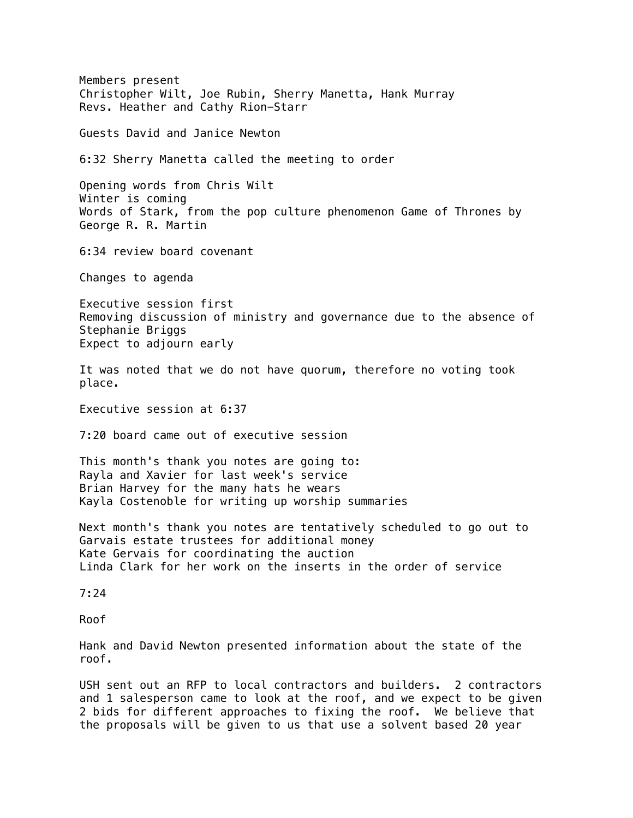Members present Christopher Wilt, Joe Rubin, Sherry Manetta, Hank Murray Revs. Heather and Cathy Rion-Starr Guests David and Janice Newton 6:32 Sherry Manetta called the meeting to order Opening words from Chris Wilt Winter is coming Words of Stark, from the pop culture phenomenon Game of Thrones by George R. R. Martin 6:34 review board covenant Changes to agenda Executive session first Removing discussion of ministry and governance due to the absence of Stephanie Briggs Expect to adjourn early It was noted that we do not have quorum, therefore no voting took place. Executive session at 6:37 7:20 board came out of executive session This month's thank you notes are going to: Rayla and Xavier for last week's service Brian Harvey for the many hats he wears Kayla Costenoble for writing up worship summaries Next month's thank you notes are tentatively scheduled to go out to Garvais estate trustees for additional money Kate Gervais for coordinating the auction Linda Clark for her work on the inserts in the order of service 7:24 Roof Hank and David Newton presented information about the state of the roof. USH sent out an RFP to local contractors and builders. 2 contractors

and 1 salesperson came to look at the roof, and we expect to be given 2 bids for different approaches to fixing the roof. We believe that the proposals will be given to us that use a solvent based 20 year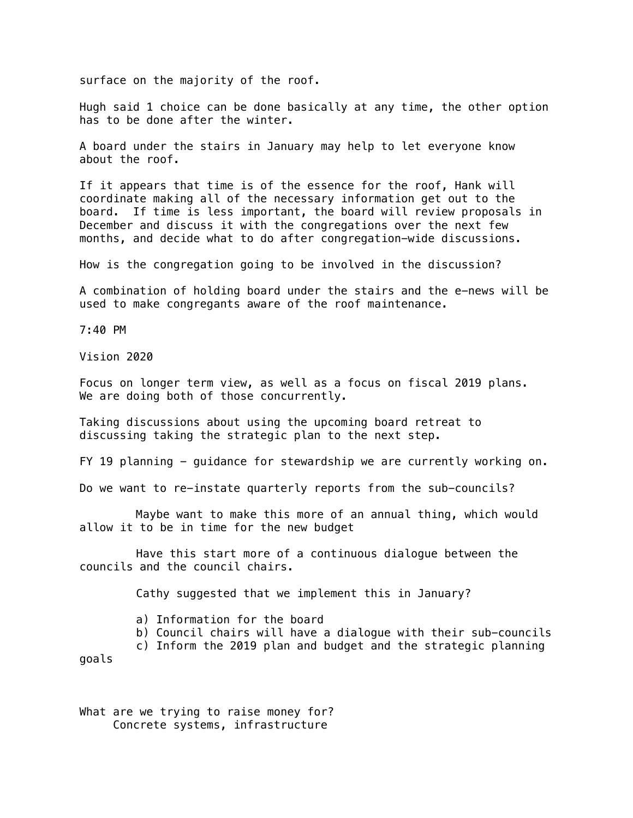surface on the majority of the roof.

Hugh said 1 choice can be done basically at any time, the other option has to be done after the winter.

A board under the stairs in January may help to let everyone know about the roof.

If it appears that time is of the essence for the roof, Hank will coordinate making all of the necessary information get out to the board. If time is less important, the board will review proposals in December and discuss it with the congregations over the next few months, and decide what to do after congregation-wide discussions.

How is the congregation going to be involved in the discussion?

A combination of holding board under the stairs and the e-news will be used to make congregants aware of the roof maintenance.

7:40 PM

Vision 2020

Focus on longer term view, as well as a focus on fiscal 2019 plans. We are doing both of those concurrently.

Taking discussions about using the upcoming board retreat to discussing taking the strategic plan to the next step.

FY 19 planning - guidance for stewardship we are currently working on.

Do we want to re-instate quarterly reports from the sub-councils?

Maybe want to make this more of an annual thing, which would allow it to be in time for the new budget

Have this start more of a continuous dialogue between the councils and the council chairs.

Cathy suggested that we implement this in January?

a) Information for the board

b) Council chairs will have a dialogue with their sub-councils

c) Inform the 2019 plan and budget and the strategic planning

goals

What are we trying to raise money for? Concrete systems, infrastructure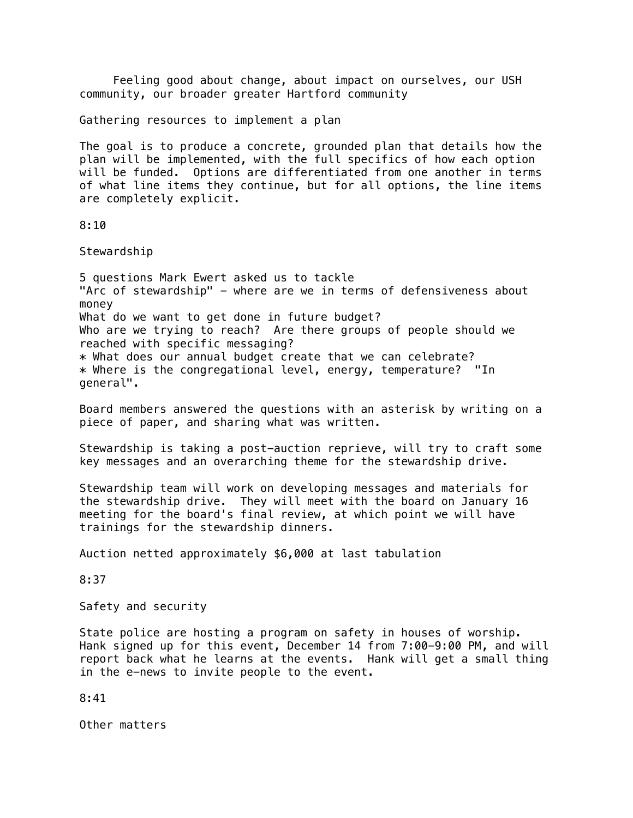Feeling good about change, about impact on ourselves, our USH community, our broader greater Hartford community

Gathering resources to implement a plan

The goal is to produce a concrete, grounded plan that details how the plan will be implemented, with the full specifics of how each option will be funded. Options are differentiated from one another in terms of what line items they continue, but for all options, the line items are completely explicit.

8:10

Stewardship

5 questions Mark Ewert asked us to tackle "Arc of stewardship" - where are we in terms of defensiveness about money What do we want to get done in future budget? Who are we trying to reach? Are there groups of people should we reached with specific messaging? \* What does our annual budget create that we can celebrate? \* Where is the congregational level, energy, temperature? "In general".

Board members answered the questions with an asterisk by writing on a piece of paper, and sharing what was written.

Stewardship is taking a post-auction reprieve, will try to craft some key messages and an overarching theme for the stewardship drive.

Stewardship team will work on developing messages and materials for the stewardship drive. They will meet with the board on January 16 meeting for the board's final review, at which point we will have trainings for the stewardship dinners.

Auction netted approximately \$6,000 at last tabulation

8:37

Safety and security

State police are hosting a program on safety in houses of worship. Hank signed up for this event, December 14 from 7:00-9:00 PM, and will report back what he learns at the events. Hank will get a small thing in the e-news to invite people to the event.

8:41

Other matters